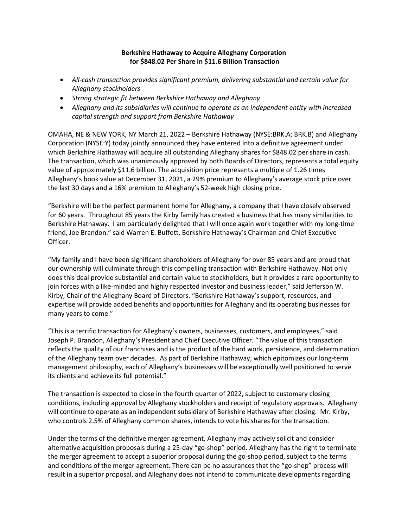# Berkshire Hathaway to Acquire Alleghany Corporation for \$848.02 Per Share in \$11.6 Billion Transaction

- All-cash transaction provides significant premium, delivering substantial and certain value for Alleghany stockholders
- Strong strategic fit between Berkshire Hathaway and Alleghany
- Alleghany and its subsidiaries will continue to operate as an independent entity with increased capital strength and support from Berkshire Hathaway

OMAHA, NE & NEW YORK, NY March 21, 2022 – Berkshire Hathaway (NYSE:BRK.A; BRK.B) and Alleghany Corporation (NYSE:Y) today jointly announced they have entered into a definitive agreement under which Berkshire Hathaway will acquire all outstanding Alleghany shares for \$848.02 per share in cash. The transaction, which was unanimously approved by both Boards of Directors, represents a total equity value of approximately \$11.6 billion. The acquisition price represents a multiple of 1.26 times Alleghany's book value at December 31, 2021, a 29% premium to Alleghany's average stock price over the last 30 days and a 16% premium to Alleghany's 52-week high closing price.

"Berkshire will be the perfect permanent home for Alleghany, a company that I have closely observed for 60 years. Throughout 85 years the Kirby family has created a business that has many similarities to Berkshire Hathaway. I am particularly delighted that I will once again work together with my long-time friend, Joe Brandon." said Warren E. Buffett, Berkshire Hathaway's Chairman and Chief Executive Officer.

"My family and I have been significant shareholders of Alleghany for over 85 years and are proud that our ownership will culminate through this compelling transaction with Berkshire Hathaway. Not only does this deal provide substantial and certain value to stockholders, but it provides a rare opportunity to join forces with a like-minded and highly respected investor and business leader," said Jefferson W. Kirby, Chair of the Alleghany Board of Directors. "Berkshire Hathaway's support, resources, and expertise will provide added benefits and opportunities for Alleghany and its operating businesses for many years to come."

"This is a terrific transaction for Alleghany's owners, businesses, customers, and employees," said Joseph P. Brandon, Alleghany's President and Chief Executive Officer. "The value of this transaction reflects the quality of our franchises and is the product of the hard work, persistence, and determination of the Alleghany team over decades. As part of Berkshire Hathaway, which epitomizes our long-term management philosophy, each of Alleghany's businesses will be exceptionally well positioned to serve its clients and achieve its full potential."

The transaction is expected to close in the fourth quarter of 2022, subject to customary closing conditions, including approval by Alleghany stockholders and receipt of regulatory approvals. Alleghany will continue to operate as an independent subsidiary of Berkshire Hathaway after closing. Mr. Kirby, who controls 2.5% of Alleghany common shares, intends to vote his shares for the transaction.

Under the terms of the definitive merger agreement, Alleghany may actively solicit and consider alternative acquisition proposals during a 25-day "go-shop" period. Alleghany has the right to terminate the merger agreement to accept a superior proposal during the go-shop period, subject to the terms and conditions of the merger agreement. There can be no assurances that the "go-shop" process will result in a superior proposal, and Alleghany does not intend to communicate developments regarding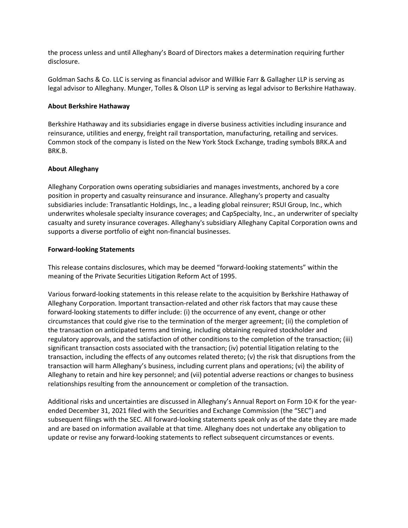the process unless and until Alleghany's Board of Directors makes a determination requiring further disclosure.

Goldman Sachs & Co. LLC is serving as financial advisor and Willkie Farr & Gallagher LLP is serving as legal advisor to Alleghany. Munger, Tolles & Olson LLP is serving as legal advisor to Berkshire Hathaway.

## About Berkshire Hathaway

Berkshire Hathaway and its subsidiaries engage in diverse business activities including insurance and reinsurance, utilities and energy, freight rail transportation, manufacturing, retailing and services. Common stock of the company is listed on the New York Stock Exchange, trading symbols BRK.A and BRK.B.

## About Alleghany

Alleghany Corporation owns operating subsidiaries and manages investments, anchored by a core position in property and casualty reinsurance and insurance. Alleghany's property and casualty subsidiaries include: Transatlantic Holdings, Inc., a leading global reinsurer; RSUI Group, Inc., which underwrites wholesale specialty insurance coverages; and CapSpecialty, Inc., an underwriter of specialty casualty and surety insurance coverages. Alleghany's subsidiary Alleghany Capital Corporation owns and supports a diverse portfolio of eight non-financial businesses.

## Forward-looking Statements

This release contains disclosures, which may be deemed "forward-looking statements" within the meaning of the Private Securities Litigation Reform Act of 1995.

Various forward-looking statements in this release relate to the acquisition by Berkshire Hathaway of Alleghany Corporation. Important transaction-related and other risk factors that may cause these forward-looking statements to differ include: (i) the occurrence of any event, change or other circumstances that could give rise to the termination of the merger agreement; (ii) the completion of the transaction on anticipated terms and timing, including obtaining required stockholder and regulatory approvals, and the satisfaction of other conditions to the completion of the transaction; (iii) significant transaction costs associated with the transaction; (iv) potential litigation relating to the transaction, including the effects of any outcomes related thereto; (v) the risk that disruptions from the transaction will harm Alleghany's business, including current plans and operations; (vi) the ability of Alleghany to retain and hire key personnel; and (vii) potential adverse reactions or changes to business relationships resulting from the announcement or completion of the transaction.

Additional risks and uncertainties are discussed in Alleghany's Annual Report on Form 10-K for the yearended December 31, 2021 filed with the Securities and Exchange Commission (the "SEC") and subsequent filings with the SEC. All forward-looking statements speak only as of the date they are made and are based on information available at that time. Alleghany does not undertake any obligation to update or revise any forward-looking statements to reflect subsequent circumstances or events.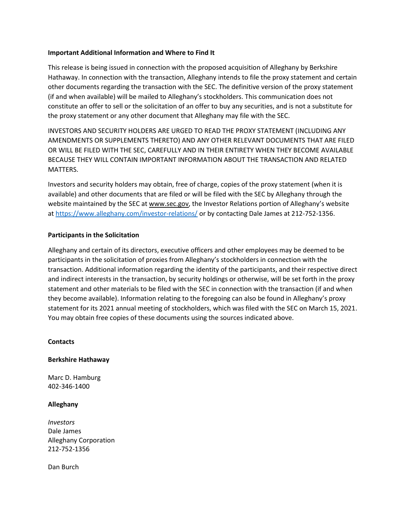## Important Additional Information and Where to Find It

This release is being issued in connection with the proposed acquisition of Alleghany by Berkshire Hathaway. In connection with the transaction, Alleghany intends to file the proxy statement and certain other documents regarding the transaction with the SEC. The definitive version of the proxy statement (if and when available) will be mailed to Alleghany's stockholders. This communication does not constitute an offer to sell or the solicitation of an offer to buy any securities, and is not a substitute for the proxy statement or any other document that Alleghany may file with the SEC.

INVESTORS AND SECURITY HOLDERS ARE URGED TO READ THE PROXY STATEMENT (INCLUDING ANY AMENDMENTS OR SUPPLEMENTS THERETO) AND ANY OTHER RELEVANT DOCUMENTS THAT ARE FILED OR WILL BE FILED WITH THE SEC, CAREFULLY AND IN THEIR ENTIRETY WHEN THEY BECOME AVAILABLE BECAUSE THEY WILL CONTAIN IMPORTANT INFORMATION ABOUT THE TRANSACTION AND RELATED MATTERS.

Investors and security holders may obtain, free of charge, copies of the proxy statement (when it is available) and other documents that are filed or will be filed with the SEC by Alleghany through the website maintained by the SEC at www.sec.gov, the Investor Relations portion of Alleghany's website at https://www.alleghany.com/investor-relations/ or by contacting Dale James at 212-752-1356.

## Participants in the Solicitation

Alleghany and certain of its directors, executive officers and other employees may be deemed to be participants in the solicitation of proxies from Alleghany's stockholders in connection with the transaction. Additional information regarding the identity of the participants, and their respective direct and indirect interests in the transaction, by security holdings or otherwise, will be set forth in the proxy statement and other materials to be filed with the SEC in connection with the transaction (if and when they become available). Information relating to the foregoing can also be found in Alleghany's proxy statement for its 2021 annual meeting of stockholders, which was filed with the SEC on March 15, 2021. You may obtain free copies of these documents using the sources indicated above.

### **Contacts**

### Berkshire Hathaway

Marc D. Hamburg 402-346-1400

### Alleghany

Investors Dale James Alleghany Corporation 212-752-1356

Dan Burch